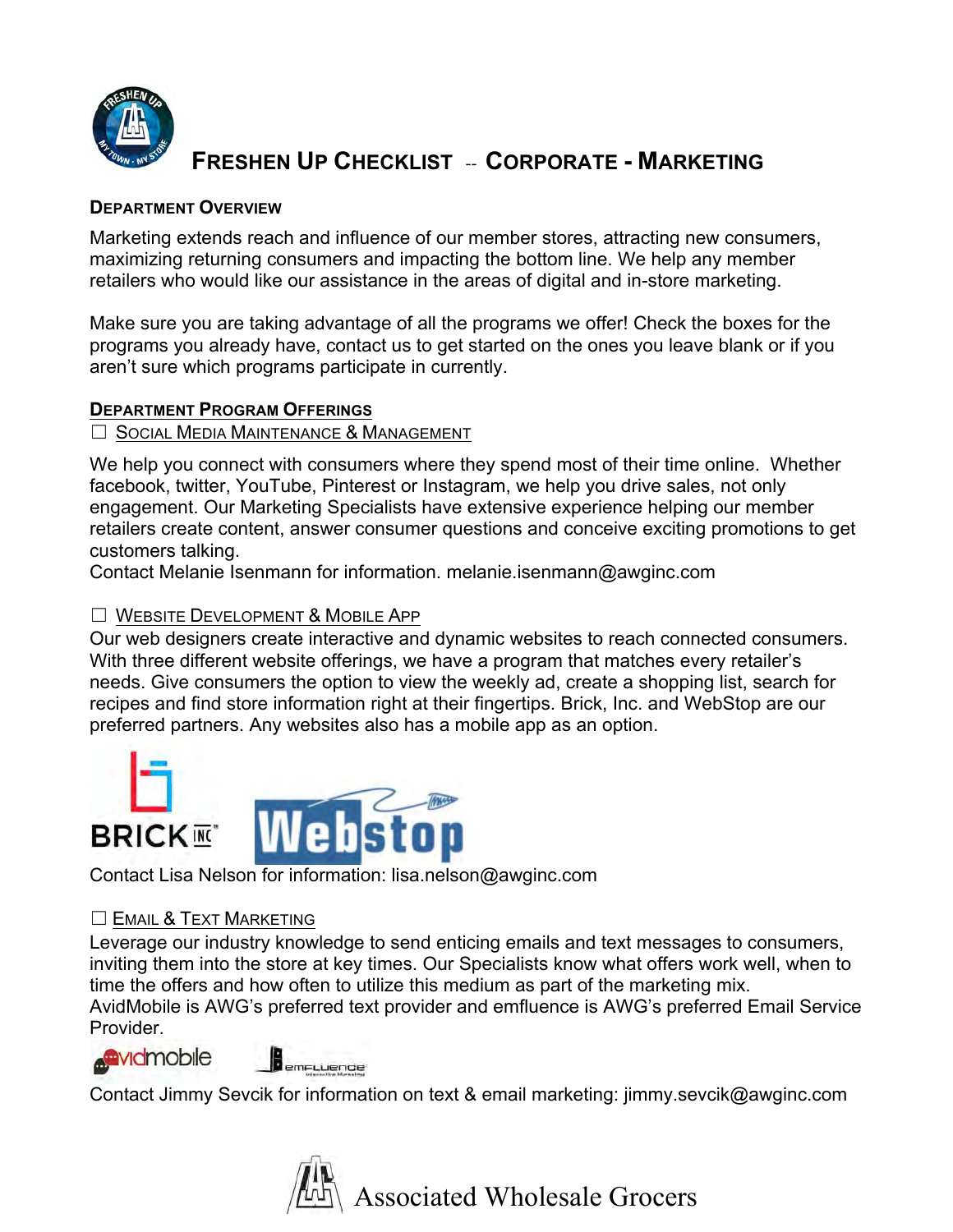

# **FRESHEN UP CHECKLIST - CORPORATE - MARKETING**

### **DEPARTMENT OVERVIEW**

Marketing extends reach and influence of our member stores, attracting new consumers, maximizing returning consumers and impacting the bottom line. We help any member retailers who would like our assistance in the areas of digital and in-store marketing.

Make sure you are taking advantage of all the programs we offer! Check the boxes for the programs you already have, contact us to get started on the ones you leave blank or if you aren't sure which programs participate in currently.

# **DEPARTMENT PROGRAM OFFERINGS**

# ☐ SOCIAL MEDIA MAINTENANCE & MANAGEMENT

We help you connect with consumers where they spend most of their time online. Whether facebook, twitter, YouTube, Pinterest or Instagram, we help you drive sales, not only engagement. Our Marketing Specialists have extensive experience helping our member retailers create content, answer consumer questions and conceive exciting promotions to get customers talking.

Contact Melanie Isenmann for information. melanie.isenmann@awginc.com

# ☐ WEBSITE DEVELOPMENT & MOBILE APP

Our web designers create interactive and dynamic websites to reach connected consumers. With three different website offerings, we have a program that matches every retailer's needs. Give consumers the option to view the weekly ad, create a shopping list, search for recipes and find store information right at their fingertips. Brick, Inc. and WebStop are our preferred partners. Any websites also has a mobile app as an option.



Contact Lisa Nelson for information: lisa.nelson@awginc.com

# $\Box$  EMAIL & TEXT MARKETING

Leverage our industry knowledge to send enticing emails and text messages to consumers, inviting them into the store at key times. Our Specialists know what offers work well, when to time the offers and how often to utilize this medium as part of the marketing mix. AvidMobile is AWG's preferred text provider and emfluence is AWG's preferred Email Service

Provider.

Contact Jimmy Sevcik for information on text & email marketing: jimmy.sevcik@awginc.com

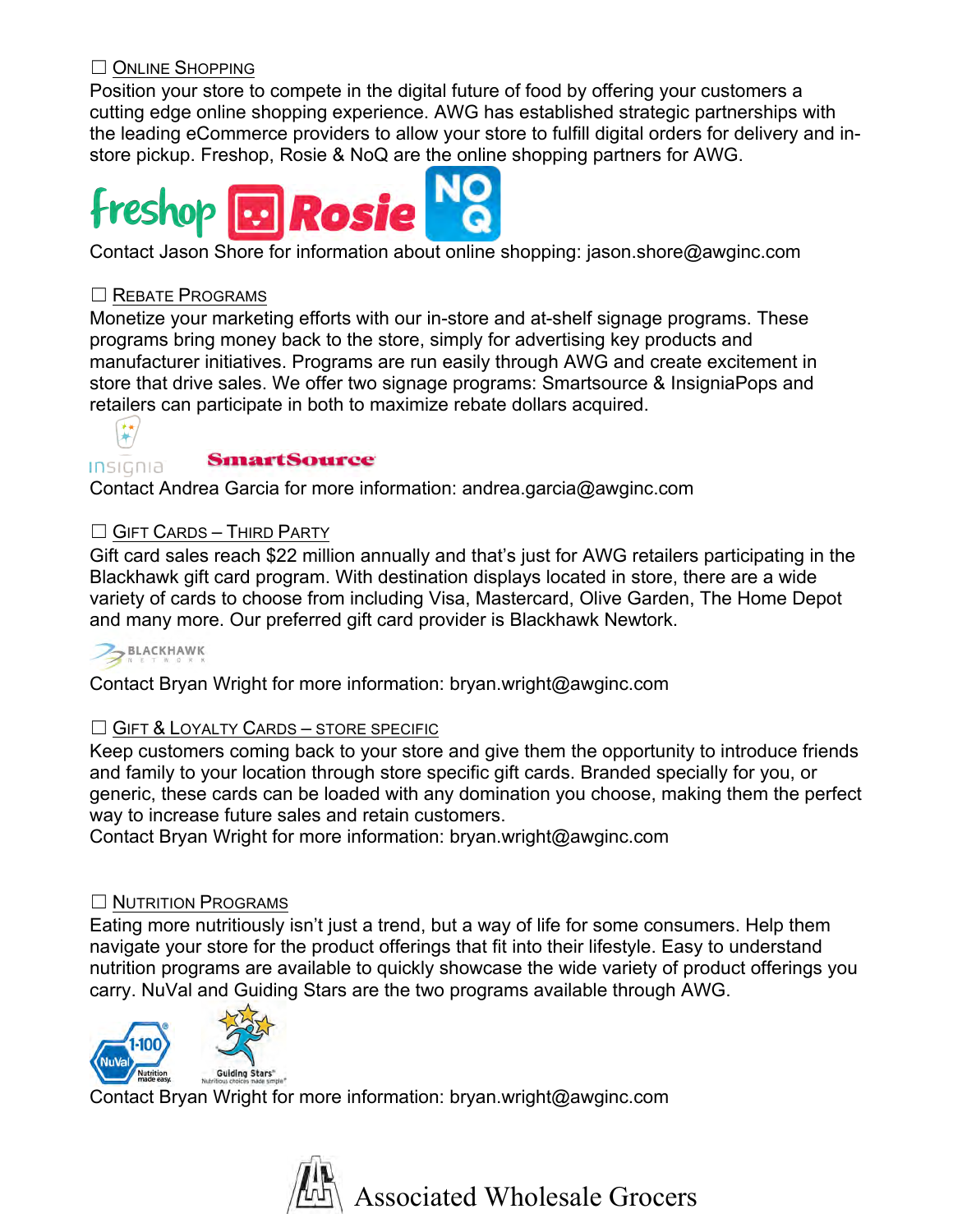# ☐ ONLINE SHOPPING

Position your store to compete in the digital future of food by offering your customers a cutting edge online shopping experience. AWG has established strategic partnerships with the leading eCommerce providers to allow your store to fulfill digital orders for delivery and instore pickup. Freshop, Rosie & NoQ are the online shopping partners for AWG.



# ☐ REBATE PROGRAMS

Monetize your marketing efforts with our in-store and at-shelf signage programs. These programs bring money back to the store, simply for advertising key products and manufacturer initiatives. Programs are run easily through AWG and create excitement in store that drive sales. We offer two signage programs: Smartsource & InsigniaPops and retailers can participate in both to maximize rebate dollars acquired.



**Insignia SinartSource**<br>Contact Andrea Garcia for more information: andrea.garcia@awginc.com

# ☐ GIFT CARDS – THIRD PARTY

Gift card sales reach \$22 million annually and that's just for AWG retailers participating in the Blackhawk gift card program. With destination displays located in store, there are a wide variety of cards to choose from including Visa, Mastercard, Olive Garden, The Home Depot and many more. Our preferred gift card provider is Blackhawk Newtork.

# BLACKHAWK

Contact Bryan Wright for more information: bryan.wright@awginc.com

# ☐ GIFT & LOYALTY CARDS – STORE SPECIFIC

Keep customers coming back to your store and give them the opportunity to introduce friends and family to your location through store specific gift cards. Branded specially for you, or generic, these cards can be loaded with any domination you choose, making them the perfect way to increase future sales and retain customers.

Contact Bryan Wright for more information: bryan.wright@awginc.com

# ☐ NUTRITION PROGRAMS

Eating more nutritiously isn't just a trend, but a way of life for some consumers. Help them navigate your store for the product offerings that fit into their lifestyle. Easy to understand nutrition programs are available to quickly showcase the wide variety of product offerings you carry. NuVal and Guiding Stars are the two programs available through AWG.





Contact Bryan Wright for more information: bryan.wright@awginc.com

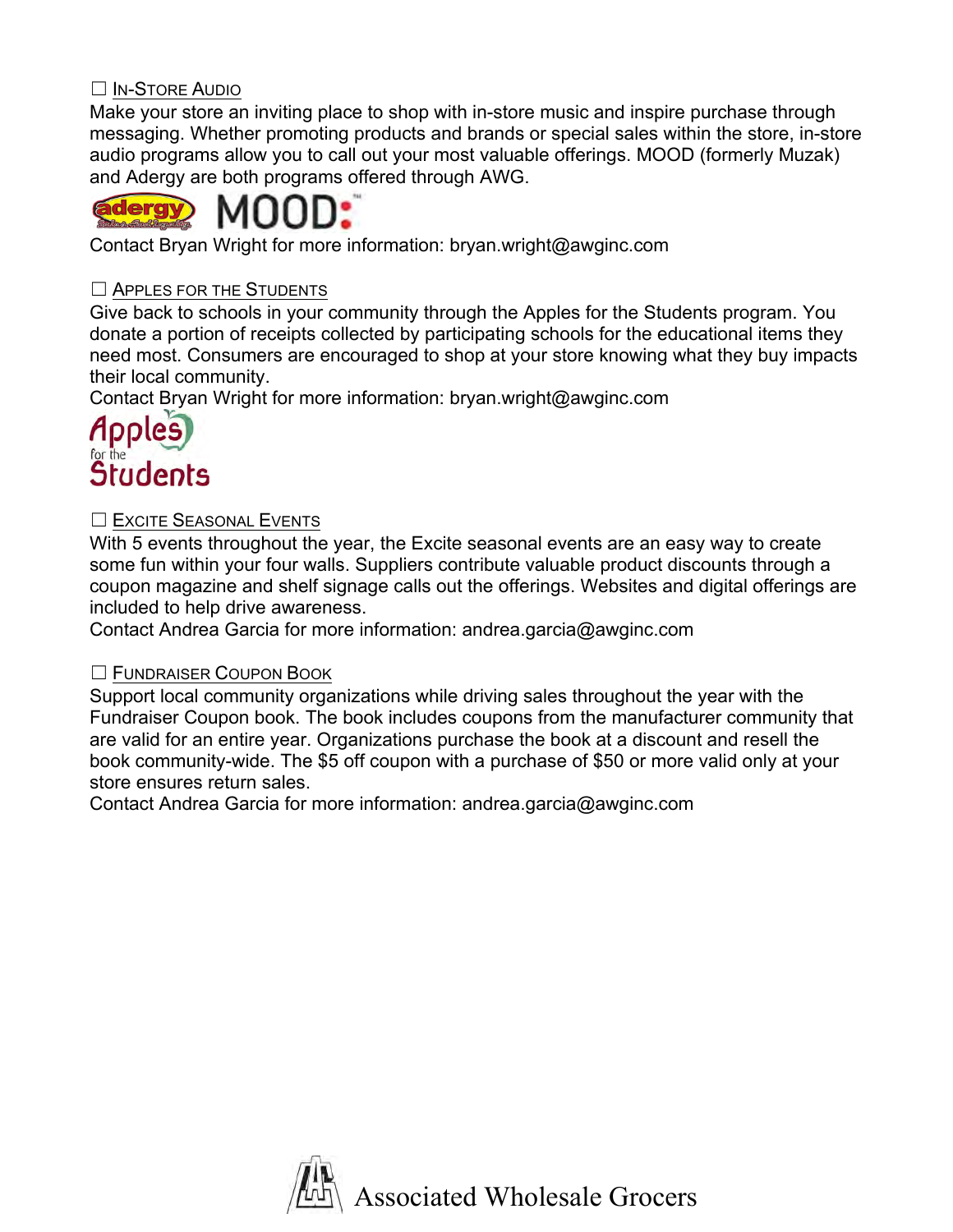# ☐ IN-STORE AUDIO

Make your store an inviting place to shop with in-store music and inspire purchase through messaging. Whether promoting products and brands or special sales within the store, in-store audio programs allow you to call out your most valuable offerings. MOOD (formerly Muzak) and Adergy are both programs offered through AWG.



Contact Bryan Wright for more information: bryan.wright@awginc.com

## ☐ APPLES FOR THE STUDENTS

Give back to schools in your community through the Apples for the Students program. You donate a portion of receipts collected by participating schools for the educational items they need most. Consumers are encouraged to shop at your store knowing what they buy impacts their local community.

Contact Bryan Wright for more information: bryan.wright@awginc.com

# **Students**

# ☐ EXCITE SEASONAL EVENTS

With 5 events throughout the year, the Excite seasonal events are an easy way to create some fun within your four walls. Suppliers contribute valuable product discounts through a coupon magazine and shelf signage calls out the offerings. Websites and digital offerings are included to help drive awareness.

Contact Andrea Garcia for more information: andrea.garcia@awginc.com

### ☐ FUNDRAISER COUPON BOOK

Support local community organizations while driving sales throughout the year with the Fundraiser Coupon book. The book includes coupons from the manufacturer community that are valid for an entire year. Organizations purchase the book at a discount and resell the book community-wide. The \$5 off coupon with a purchase of \$50 or more valid only at your store ensures return sales.

Contact Andrea Garcia for more information: andrea.garcia@awginc.com